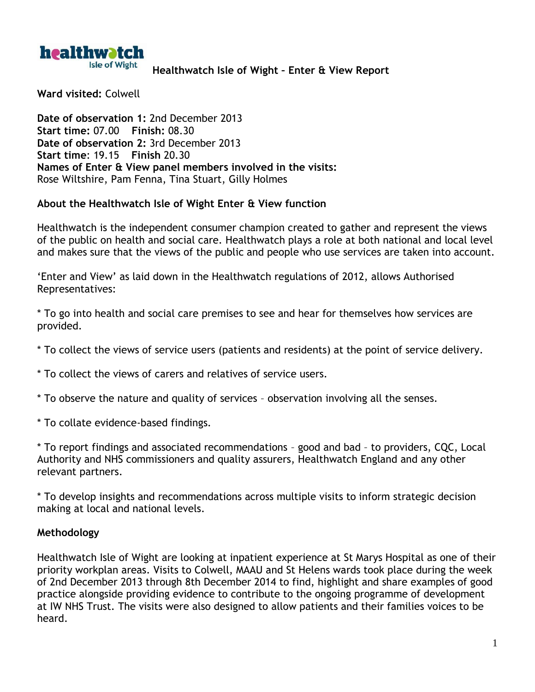

**Healthwatch Isle of Wight – Enter & View Report**

**Ward visited:** Colwell

**Date of observation 1:** 2nd December 2013 **Start time:** 07.00 **Finish:** 08.30 **Date of observation 2:** 3rd December 2013 **Start time**: 19.15 **Finish** 20.30 **Names of Enter & View panel members involved in the visits:** Rose Wiltshire, Pam Fenna, Tina Stuart, Gilly Holmes

## **About the Healthwatch Isle of Wight Enter & View function**

Healthwatch is the independent consumer champion created to gather and represent the views of the public on health and social care. Healthwatch plays a role at both national and local level and makes sure that the views of the public and people who use services are taken into account.

'Enter and View' as laid down in the Healthwatch regulations of 2012, allows Authorised Representatives:

\* To go into health and social care premises to see and hear for themselves how services are provided.

\* To collect the views of service users (patients and residents) at the point of service delivery.

\* To collect the views of carers and relatives of service users.

\* To observe the nature and quality of services – observation involving all the senses.

\* To collate evidence-based findings.

\* To report findings and associated recommendations – good and bad – to providers, CQC, Local Authority and NHS commissioners and quality assurers, Healthwatch England and any other relevant partners.

\* To develop insights and recommendations across multiple visits to inform strategic decision making at local and national levels.

# **Methodology**

Healthwatch Isle of Wight are looking at inpatient experience at St Marys Hospital as one of their priority workplan areas. Visits to Colwell, MAAU and St Helens wards took place during the week of 2nd December 2013 through 8th December 2014 to find, highlight and share examples of good practice alongside providing evidence to contribute to the ongoing programme of development at IW NHS Trust. The visits were also designed to allow patients and their families voices to be heard.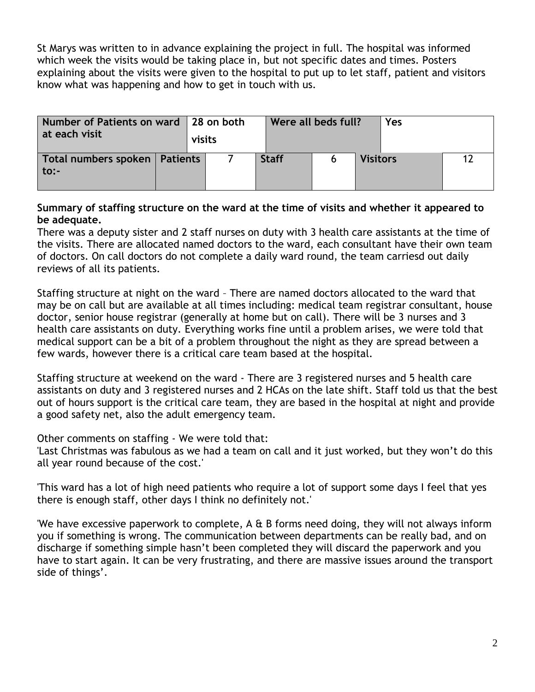St Marys was written to in advance explaining the project in full. The hospital was informed which week the visits would be taking place in, but not specific dates and times. Posters explaining about the visits were given to the hospital to put up to let staff, patient and visitors know what was happening and how to get in touch with us.

| Number of Patients on ward   28 on both<br>at each visit |  | visits |  | Were all beds full? |  |                 | Yes |  |
|----------------------------------------------------------|--|--------|--|---------------------|--|-----------------|-----|--|
| Total numbers spoken   Patients<br>to:-                  |  |        |  | <b>Staff</b>        |  | <b>Visitors</b> |     |  |

**Summary of staffing structure on the ward at the time of visits and whether it appeared to be adequate.**

There was a deputy sister and 2 staff nurses on duty with 3 health care assistants at the time of the visits. There are allocated named doctors to the ward, each consultant have their own team of doctors. On call doctors do not complete a daily ward round, the team carriesd out daily reviews of all its patients.

Staffing structure at night on the ward – There are named doctors allocated to the ward that may be on call but are available at all times including: medical team registrar consultant, house doctor, senior house registrar (generally at home but on call). There will be 3 nurses and 3 health care assistants on duty. Everything works fine until a problem arises, we were told that medical support can be a bit of a problem throughout the night as they are spread between a few wards, however there is a critical care team based at the hospital.

Staffing structure at weekend on the ward - There are 3 registered nurses and 5 health care assistants on duty and 3 registered nurses and 2 HCAs on the late shift. Staff told us that the best out of hours support is the critical care team, they are based in the hospital at night and provide a good safety net, also the adult emergency team.

Other comments on staffing - We were told that:

'Last Christmas was fabulous as we had a team on call and it just worked, but they won't do this all year round because of the cost.'

'This ward has a lot of high need patients who require a lot of support some days I feel that yes there is enough staff, other days I think no definitely not.'

'We have excessive paperwork to complete, A & B forms need doing, they will not always inform you if something is wrong. The communication between departments can be really bad, and on discharge if something simple hasn't been completed they will discard the paperwork and you have to start again. It can be very frustrating, and there are massive issues around the transport side of things'.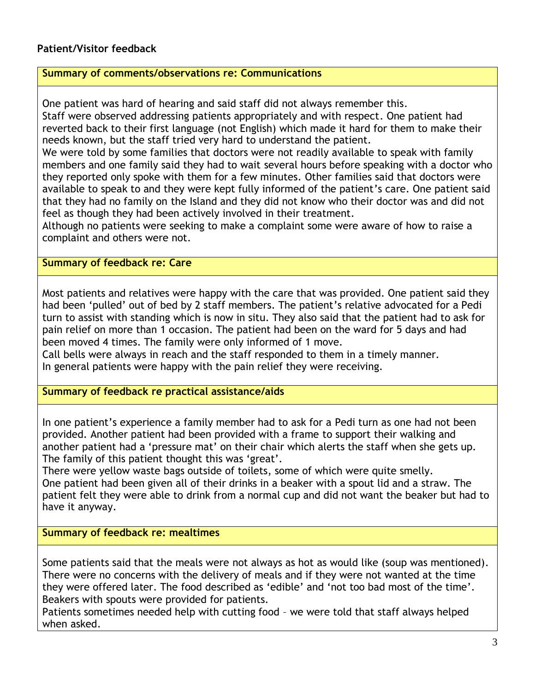## **Patient/Visitor feedback**

#### **Summary of comments/observations re: Communications**

One patient was hard of hearing and said staff did not always remember this. Staff were observed addressing patients appropriately and with respect. One patient had reverted back to their first language (not English) which made it hard for them to make their needs known, but the staff tried very hard to understand the patient.

We were told by some families that doctors were not readily available to speak with family members and one family said they had to wait several hours before speaking with a doctor who they reported only spoke with them for a few minutes. Other families said that doctors were available to speak to and they were kept fully informed of the patient's care. One patient said that they had no family on the Island and they did not know who their doctor was and did not feel as though they had been actively involved in their treatment.

Although no patients were seeking to make a complaint some were aware of how to raise a complaint and others were not.

### **Summary of feedback re: Care**

Most patients and relatives were happy with the care that was provided. One patient said they had been 'pulled' out of bed by 2 staff members. The patient's relative advocated for a Pedi turn to assist with standing which is now in situ. They also said that the patient had to ask for pain relief on more than 1 occasion. The patient had been on the ward for 5 days and had been moved 4 times. The family were only informed of 1 move.

Call bells were always in reach and the staff responded to them in a timely manner. In general patients were happy with the pain relief they were receiving.

## **Summary of feedback re practical assistance/aids**

In one patient's experience a family member had to ask for a Pedi turn as one had not been provided. Another patient had been provided with a frame to support their walking and another patient had a 'pressure mat' on their chair which alerts the staff when she gets up. The family of this patient thought this was 'great'.

There were yellow waste bags outside of toilets, some of which were quite smelly. One patient had been given all of their drinks in a beaker with a spout lid and a straw. The patient felt they were able to drink from a normal cup and did not want the beaker but had to have it anyway.

## **Summary of feedback re: mealtimes**

Some patients said that the meals were not always as hot as would like (soup was mentioned). There were no concerns with the delivery of meals and if they were not wanted at the time they were offered later. The food described as 'edible' and 'not too bad most of the time'. Beakers with spouts were provided for patients.

Patients sometimes needed help with cutting food – we were told that staff always helped when asked.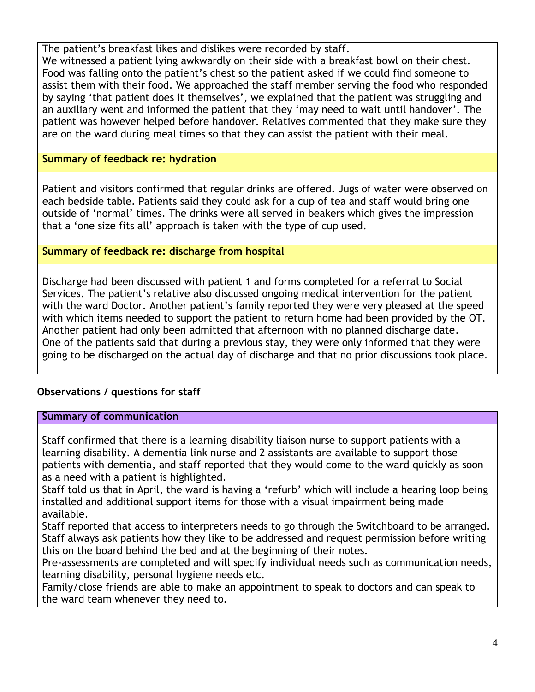The patient's breakfast likes and dislikes were recorded by staff.

We witnessed a patient lying awkwardly on their side with a breakfast bowl on their chest. Food was falling onto the patient's chest so the patient asked if we could find someone to assist them with their food. We approached the staff member serving the food who responded by saying 'that patient does it themselves', we explained that the patient was struggling and an auxiliary went and informed the patient that they 'may need to wait until handover'. The patient was however helped before handover. Relatives commented that they make sure they are on the ward during meal times so that they can assist the patient with their meal.

# **Summary of feedback re: hydration**

Patient and visitors confirmed that regular drinks are offered. Jugs of water were observed on each bedside table. Patients said they could ask for a cup of tea and staff would bring one outside of 'normal' times. The drinks were all served in beakers which gives the impression that a 'one size fits all' approach is taken with the type of cup used.

# **Summary of feedback re: discharge from hospital**

Discharge had been discussed with patient 1 and forms completed for a referral to Social Services. The patient's relative also discussed ongoing medical intervention for the patient with the ward Doctor. Another patient's family reported they were very pleased at the speed with which items needed to support the patient to return home had been provided by the OT. Another patient had only been admitted that afternoon with no planned discharge date. One of the patients said that during a previous stay, they were only informed that they were going to be discharged on the actual day of discharge and that no prior discussions took place.

# **Observations / questions for staff**

### **Summary of communication**

Staff confirmed that there is a learning disability liaison nurse to support patients with a learning disability. A dementia link nurse and 2 assistants are available to support those patients with dementia, and staff reported that they would come to the ward quickly as soon as a need with a patient is highlighted.

Staff told us that in April, the ward is having a 'refurb' which will include a hearing loop being installed and additional support items for those with a visual impairment being made available.

Staff reported that access to interpreters needs to go through the Switchboard to be arranged. Staff always ask patients how they like to be addressed and request permission before writing this on the board behind the bed and at the beginning of their notes.

Pre-assessments are completed and will specify individual needs such as communication needs, learning disability, personal hygiene needs etc.

Family/close friends are able to make an appointment to speak to doctors and can speak to the ward team whenever they need to.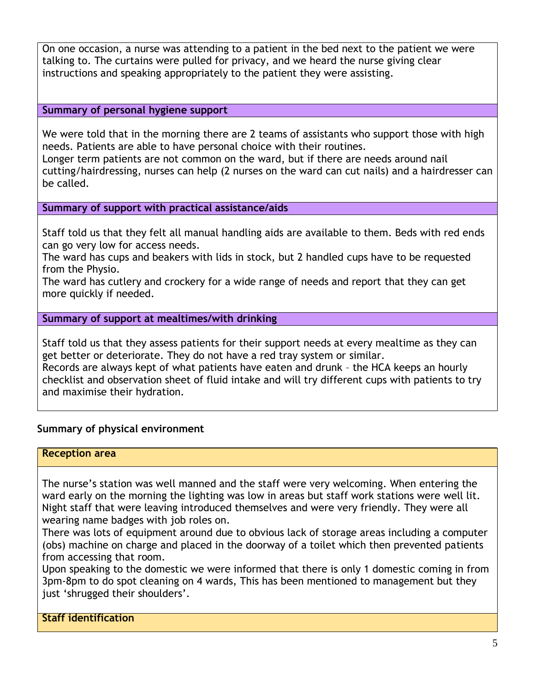On one occasion, a nurse was attending to a patient in the bed next to the patient we were talking to. The curtains were pulled for privacy, and we heard the nurse giving clear instructions and speaking appropriately to the patient they were assisting.

**Summary of personal hygiene support**

We were told that in the morning there are 2 teams of assistants who support those with high needs. Patients are able to have personal choice with their routines.

Longer term patients are not common on the ward, but if there are needs around nail cutting/hairdressing, nurses can help (2 nurses on the ward can cut nails) and a hairdresser can be called.

**Summary of support with practical assistance/aids**

Staff told us that they felt all manual handling aids are available to them. Beds with red ends can go very low for access needs.

The ward has cups and beakers with lids in stock, but 2 handled cups have to be requested from the Physio.

The ward has cutlery and crockery for a wide range of needs and report that they can get more quickly if needed.

**Summary of support at mealtimes/with drinking**

Staff told us that they assess patients for their support needs at every mealtime as they can get better or deteriorate. They do not have a red tray system or similar. Records are always kept of what patients have eaten and drunk – the HCA keeps an hourly checklist and observation sheet of fluid intake and will try different cups with patients to try and maximise their hydration.

# **Summary of physical environment**

### **Reception area**

The nurse's station was well manned and the staff were very welcoming. When entering the ward early on the morning the lighting was low in areas but staff work stations were well lit. Night staff that were leaving introduced themselves and were very friendly. They were all wearing name badges with job roles on.

There was lots of equipment around due to obvious lack of storage areas including a computer (obs) machine on charge and placed in the doorway of a toilet which then prevented patients from accessing that room.

Upon speaking to the domestic we were informed that there is only 1 domestic coming in from 3pm-8pm to do spot cleaning on 4 wards, This has been mentioned to management but they just 'shrugged their shoulders'.

**Staff identification**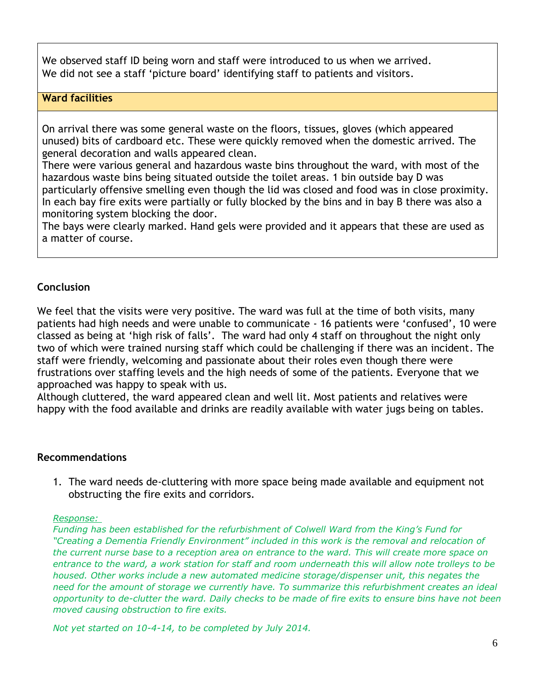We observed staff ID being worn and staff were introduced to us when we arrived. We did not see a staff 'picture board' identifying staff to patients and visitors.

## **Ward facilities**

On arrival there was some general waste on the floors, tissues, gloves (which appeared unused) bits of cardboard etc. These were quickly removed when the domestic arrived. The general decoration and walls appeared clean.

There were various general and hazardous waste bins throughout the ward, with most of the hazardous waste bins being situated outside the toilet areas. 1 bin outside bay D was particularly offensive smelling even though the lid was closed and food was in close proximity. In each bay fire exits were partially or fully blocked by the bins and in bay B there was also a monitoring system blocking the door.

The bays were clearly marked. Hand gels were provided and it appears that these are used as a matter of course.

# **Conclusion**

We feel that the visits were very positive. The ward was full at the time of both visits, many patients had high needs and were unable to communicate - 16 patients were 'confused', 10 were classed as being at 'high risk of falls'. The ward had only 4 staff on throughout the night only two of which were trained nursing staff which could be challenging if there was an incident. The staff were friendly, welcoming and passionate about their roles even though there were frustrations over staffing levels and the high needs of some of the patients. Everyone that we approached was happy to speak with us.

Although cluttered, the ward appeared clean and well lit. Most patients and relatives were happy with the food available and drinks are readily available with water jugs being on tables.

# **Recommendations**

1. The ward needs de-cluttering with more space being made available and equipment not obstructing the fire exits and corridors.

### *Response:*

*Funding has been established for the refurbishment of Colwell Ward from the King's Fund for "Creating a Dementia Friendly Environment" included in this work is the removal and relocation of the current nurse base to a reception area on entrance to the ward. This will create more space on entrance to the ward, a work station for staff and room underneath this will allow note trolleys to be housed. Other works include a new automated medicine storage/dispenser unit, this negates the need for the amount of storage we currently have. To summarize this refurbishment creates an ideal opportunity to de-clutter the ward. Daily checks to be made of fire exits to ensure bins have not been moved causing obstruction to fire exits.*

*Not yet started on 10-4-14, to be completed by July 2014.*